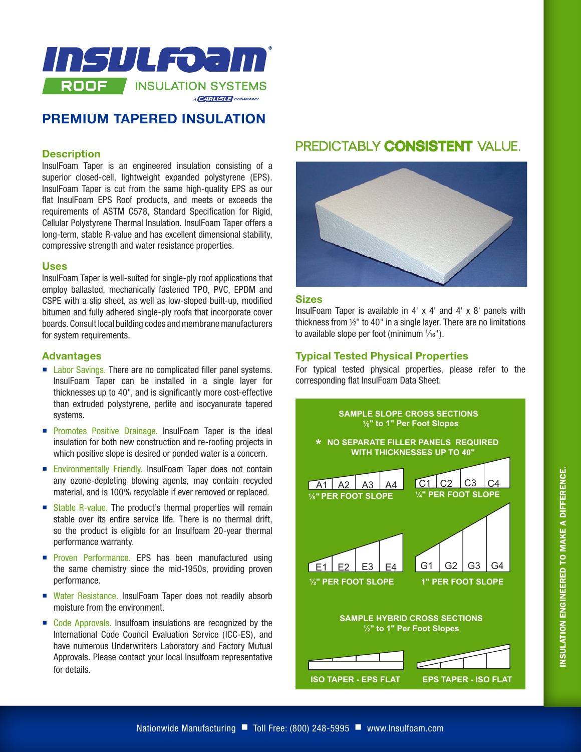

## **PREMIUM TAPERED INSULATION**

#### **Description**

InsulFoam Taper is an engineered insulation consisting of a superior closed-cell, lightweight expanded polystyrene (EPS). InsulFoam Taper is cut from the same high-quality EPS as our flat InsulFoam EPS Roof products, and meets or exceeds the requirements of ASTM C578, Standard Specification for Rigid, Cellular Polystyrene Thermal Insulation. InsulFoam Taper offers a long-term, stable R-value and has excellent dimensional stability, compressive strength and water resistance properties.

#### **Uses**

InsulFoam Taper is well-suited for single-ply roof applications that employ ballasted, mechanically fastened TPO, PVC, EPDM and CSPE with a slip sheet, as well as low-sloped built-up, modified bitumen and fully adhered single-ply roofs that incorporate cover boards. Consult local building codes and membrane manufacturers for system requirements.

#### **Advantages**

- Labor Savings. There are no complicated filler panel systems. InsulFoam Taper can be installed in a single layer for thicknesses up to 40", and is significantly more cost-effective than extruded polystyrene, perlite and isocyanurate tapered systems.
- **Promotes Positive Drainage. InsulFoam Taper is the ideal** insulation for both new construction and re-roofing projects in which positive slope is desired or ponded water is a concern.
- **Environmentally Friendly. InsulFoam Taper does not contain** any ozone-depleting blowing agents, may contain recycled material, and is 100% recyclable if ever removed or replaced.
- Stable R-value. The product's thermal properties will remain stable over its entire service life. There is no thermal drift, so the product is eligible for an Insulfoam 20-year thermal performance warranty.
- **Proven Performance. EPS has been manufactured using** the same chemistry since the mid-1950s, providing proven performance.
- Water Resistance. InsulFoam Taper does not readily absorb moisture from the environment.
- Code Approvals. Insulfoam insulations are recognized by the International Code Council Evaluation Service (ICC-ES), and have numerous Underwriters Laboratory and Factory Mutual Approvals. Please contact your local Insulfoam representative for details.

## PREDICTABLY **CONSISTENT** VALUE.



### **Sizes**

InsulFoam Taper is available in 4' x 4' and 4' x 8' panels with thickness from ½" to 40" in a single layer. There are no limitations to available slope per foot (minimum  $\frac{1}{16}$ ").

#### **Typical Tested Physical Properties**

For typical tested physical properties, please refer to the corresponding flat InsulFoam Data Sheet.